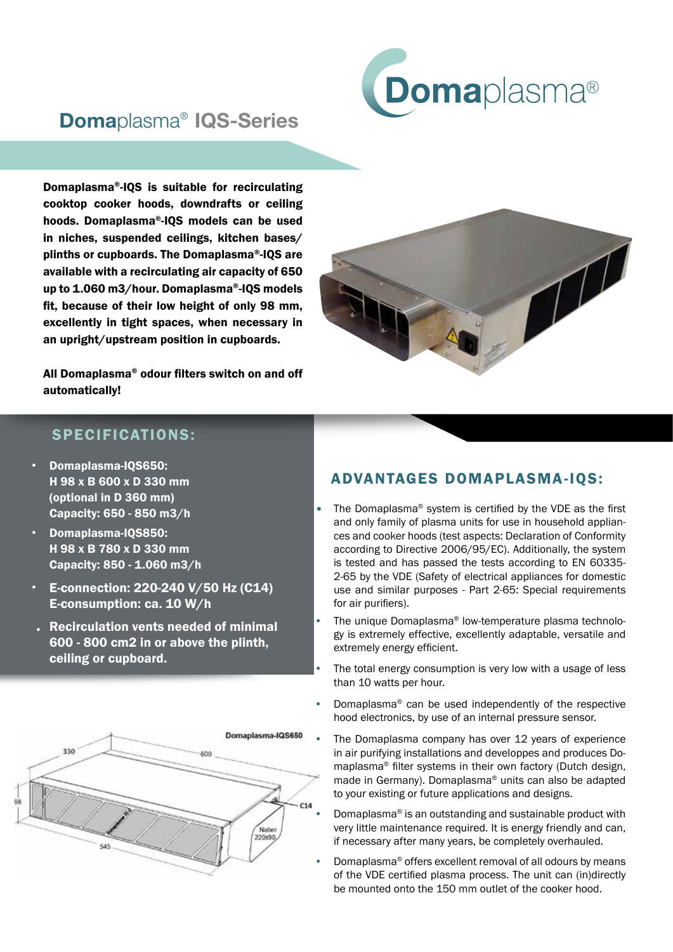

## Domaplasma® IQS-Series

Domaplasma®-IQS is suitable for recirculating cooktop cooker hoods, downdrafts or ceiling hoods. Domaplasma®-IQS models can be used in niches, suspended ceilings, kitchen bases/ plinths or cupboards. The Domaplasma®-IQS are available with a recirculating air capacity of 650 up to 1.060 m3/hour. Domaplasma®-IQS models fit, because of their low height of only 98 mm, excellently in tight spaces, when necessary in an upright/upstream position in cupboards.

All Domaplasma® odour filters switch on and off automatically!



## SPECIFICATIONS:

- Domaplasma-IQS650: H 98 x B 600 x D 330 mm (optional in D 360 mm) Capacity: 650 - 850 m3/h
- Domaplasma-IQS850: H 98 x B 780 x D 330 mm Capacity: 850 - 1.060 m3/h
- E-connection: 220-240 V/50 Hz (C14) E-consumption: ca. 10 W/h
- Recirculation vents needed of minimal 600 - 800 cm2 in or above the plinth, ceiling or cupboard.



## ADVANTAGES DOMAPLASMA-IQS:

- The Domaplasma<sup>®</sup> system is certified by the VDE as the first and only family of plasma units for use in household appliances and cooker hoods (test aspects: Declaration of Conformity according to Directive 2006/95/EC). Additionally, the system is tested and has passed the tests according to EN 60335- 2-65 by the VDE (Safety of electrical appliances for domestic use and similar purposes - Part 2-65: Special requirements for air purifiers).
- The unique Domaplasma® low-temperature plasma technology is extremely effective, excellently adaptable, versatile and extremely energy efficient.
- The total energy consumption is very low with a usage of less than 10 watts per hour.
- Domaplasma® can be used independently of the respective hood electronics, by use of an internal pressure sensor.
	- The Domaplasma company has over 12 years of experience in air purifying installations and developpes and produces Domaplasma® filter systems in their own factory (Dutch design, made in Germany). Domaplasma® units can also be adapted to your existing or future applications and designs.
	- Domaplasma® is an outstanding and sustainable product with very little maintenance required. It is energy friendly and can, if necessary after many years, be completely overhauled.
- Domaplasma® offers excellent removal of all odours by means of the VDE certified plasma process. The unit can (in)directly be mounted onto the 150 mm outlet of the cooker hood.